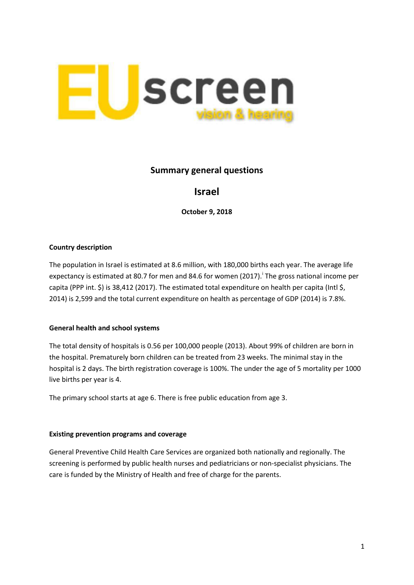

## **Summary general questions**

# **Israel**

**October 9, 2018**

### **Country description**

The population in Israel is estimated at 8.6 million, with 180,000 births each year. The average life expectancy [i](#page-1-0)s estimated at 80.7 for men and 84.6 for women (2017). The gross national income per capita (PPP int. \$) is 38,412 (2017). The estimated total expenditure on health per capita (Intl \$, 2014) is 2,599 and the total current expenditure on health as percentage of GDP (2014) is 7.8%.

#### **General health and school systems**

The total density of hospitals is 0.56 per 100,000 people (2013). About 99% of children are born in the hospital. Prematurely born children can be treated from 23 weeks. The minimal stay in the hospital is 2 days. The birth registration coverage is 100%. The under the age of 5 mortality per 1000 live births per year is 4.

The primary school starts at age 6. There is free public education from age 3.

#### **Existing prevention programs and coverage**

General Preventive Child Health Care Services are organized both nationally and regionally. The screening is performed by public health nurses and pediatricians or non-specialist physicians. The care is funded by the Ministry of Health and free of charge for the parents.